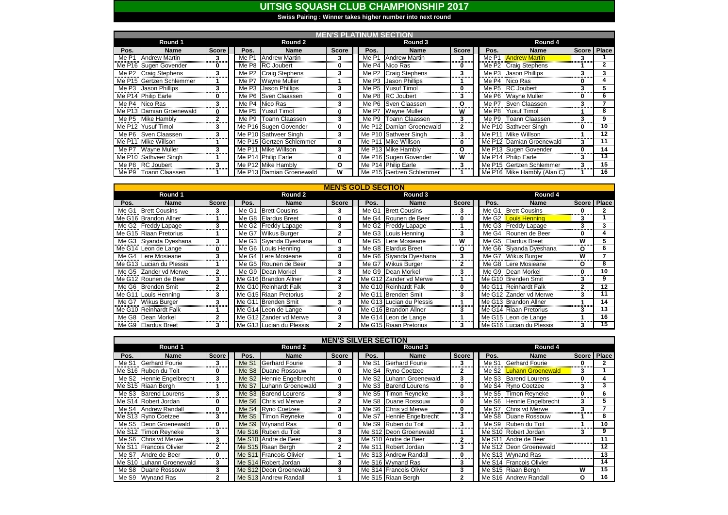|       | <b>MEN'S PLATINUM SECTION</b> |              |         |                          |              |         |                          |              |         |                             |   |               |
|-------|-------------------------------|--------------|---------|--------------------------|--------------|---------|--------------------------|--------------|---------|-----------------------------|---|---------------|
|       | Round 1                       |              | Round 2 |                          |              | Round 3 |                          |              | Round 4 |                             |   |               |
| Pos.  | <b>Name</b>                   | <b>Score</b> | Pos.    | <b>Name</b>              | <b>Score</b> | Pos.    | <b>Name</b>              | <b>Score</b> | Pos.    | <b>Name</b>                 |   | Score   Place |
| Me P1 | <b>Andrew Martin</b>          | 3            | Me P1   | Andrew Martin            |              | Me P1   | <b>Andrew Martin</b>     | 3            |         | Me P1 <b>Andrew Martin</b>  | 3 |               |
|       | Me P16 Sugen Govender         | 0            |         | Me P8 RC Joubert         | 0            | Me P4   | Nico Ras                 | 0            |         | Me P2 Craig Stephens        |   | $\mathbf{2}$  |
|       | Me P2 Craig Stephens          | 3            |         | Me P2 Craig Stephens     | 3            | Me P2   | <b>Craig Stephens</b>    | 3            | Me P3   | Jason Phillips              | 3 |               |
|       | Me P15 Gertzen Schlemmer      |              |         | Me P7   Wayne Muller     |              |         | Me P3 Jason Phillips     |              |         | Me P4 Nico Ras              | 0 |               |
|       | Me P3 Jason Phillips          | 3            |         | Me P3 Jason Phillips     | 3            | Me P5   | <b>Yusuf Timol</b>       | $\mathbf{0}$ |         | Me P5 RC Joubert            | 3 | 5             |
|       | Me P14 Philip Earle           | 0            |         | Me P6 Sven Claassen      | 0            |         | Me P8 RC Joubert         | 3            |         | Me P6 Wayne Muller          | 0 | 6             |
|       | Me P4 Nico Ras                | 3            |         | Me P4 Nico Ras           | 3            |         | Me P6 Sven Claassen      | O            |         | Me P7 Sven Claassen         | 3 |               |
|       | Me P13 Damian Groenewald      | 0            |         | Me P5 Yusuf Timol        | 0            |         | Me P7 Wayne Muller       | W            |         | Me P8 Yusuf Timol           |   | 8             |
|       | Me P5 Mike Hambly             | $\mathbf{2}$ |         | Me P9 Toann Claassen     | 3            |         | Me P9 Toann Claassen     | 3            |         | Me P9 Toann Claassen        | 3 | 9             |
|       | Me P12 Yusuf Timol            | 3            |         | Me P16 Sugen Govender    | 0            |         | Me P12 Damian Groenewald | $\mathbf{2}$ |         | Me P10 Sathveer Singh       | 0 | 10            |
|       | Me P6 Sven Claassen           | 3            |         | Me P10 Sathveer Singh    | 3            |         | Me P10 Sathveer Singh    | 3            |         | Me P11 Mike Willson         |   | $12 \,$       |
|       | Me P11 Mike Willson           |              |         | Me P15 Gertzen Schlemmer | 0            |         | Me P11 Mike Willson      | 0            |         | Me P12 Damian Groenewald    | 3 | 11            |
|       | Me P7 Wayne Muller            | 3            |         | Me P11 Mike Willson      | 3            |         | Me P13 Mike Hambly       | О            |         | Me P13 Sugen Govender       | 0 | 14            |
|       | Me P10 Sathveer Singh         |              |         | Me P14 Philip Earle      | 0            |         | Me P16 Sugen Govender    | W            |         | Me P14 Philip Earle         | 3 | 13            |
|       | Me P8 RC Joubert              | 3            |         | Me P12 Mike Hambly       | O            |         | Me P14 Philip Earle      | 3            |         | Me P15 Gertzen Schlemmer    | 3 | 15            |
|       | Me P9   Toann Claassen        |              |         | Me P13 Damian Groenewald | W            |         | Me P15 Gertzen Schlemmer |              |         | Me P16 Mike Hambly (Alan C) |   | 16            |

| <b>MEN'S GOLD SECTION</b> |                          |              |       |                          |              |         |                          |                         |         |       |                          |              |                 |
|---------------------------|--------------------------|--------------|-------|--------------------------|--------------|---------|--------------------------|-------------------------|---------|-------|--------------------------|--------------|-----------------|
|                           | Round 1                  |              |       | <b>Round 2</b>           |              | Round 3 |                          |                         | Round 4 |       |                          |              |                 |
| Pos.                      | <b>Name</b>              | <b>Score</b> | Pos.  | <b>Name</b>              | <b>Score</b> | Pos.    | <b>Name</b>              | <b>Score</b>            |         | Pos.  | <b>Name</b>              | Score Place  |                 |
| Me G1                     | <b>Brett Cousins</b>     | 3            | Me G1 | <b>Brett Cousins</b>     |              | Me G1   | <b>Brett Cousins</b>     | 3                       |         | Me G1 | <b>Brett Cousins</b>     | 0            |                 |
|                           | Me G16 Brandon Allner    |              |       | Me G8 Elardus Breet      | 0            |         | Me G4 Rounen de Beer     | 0                       |         |       | Me G2 Louis Henning      | 3            |                 |
|                           | Me G2   Freddy Lapage    | 3            |       | Me G2 Freddy Lapage      | 3            |         | Me G2 Freddy Lapage      |                         |         |       | Me G3   Freddy Lapage    | 3            |                 |
|                           | Me G15 Riaan Pretorius   |              |       | Me G7 Wikus Burger       | $\mathbf{2}$ |         | Me G3 Louis Henning      | 3.                      |         |       | Me G4 Rounen de Beer     | 0            | 4               |
|                           | Me G3 Siyanda Dyeshana   | 3            |       | Me G3 Siyanda Dyeshana   | $\mathbf{0}$ |         | Me G5 Lere Mosieane      | $\overline{\mathsf{W}}$ |         |       | Me G5 Elardus Breet      | W            | 5.              |
|                           | Me G14 Leon de Lange     | 0            |       | Me G6 Louis Henning      | 3.           |         | Me G8 Elardus Breet      | $\mathbf{o}$            |         |       | Me G6 Siyanda Dyeshana   | O            | 6               |
|                           | Me G4 Lere Mosieane      | 3            |       | Me G4 Lere Mosieane      | $\mathbf{0}$ |         | Me G6 Siyanda Dyeshana   | 3                       |         |       | Me G7 Wikus Burger       | W            |                 |
|                           | Me G13 Lucian du Plessis |              |       | Me G5 Rounen de Beer     | 3            |         | Me G7 Wikus Burger       | $\mathbf{2}$            |         |       | Me G8 Lere Mosieane      | O            | 8               |
|                           | Me G5 Zander vd Merwe    | $\mathbf{2}$ |       | Me G9 Dean Morkel        | 3            |         | Me G9 Dean Morkel        | 3                       |         |       | Me G9 Dean Morkel        | 0            | 10              |
|                           | Me G12 Rounen de Beer    | 3            |       | Me G16 Brandon Allner    | $\mathbf{2}$ |         | Me G12 Zander vd Merwe   |                         |         |       | Me G10 Brenden Smit      | 3            | 9               |
|                           | Me G6 Brenden Smit       | $\mathbf{2}$ |       | Me G10 Reinhardt Falk    | 3            |         | Me G10 Reinhardt Falk    | 0                       |         |       | Me G11 Reinhardt Falk    | $\mathbf{2}$ | 12              |
|                           | Me G11 Louis Henning     | 3            |       | Me G15 Riaan Pretorius   | $\mathbf{2}$ |         | Me G11 Brenden Smit      | 3                       |         |       | Me G12 Zander vd Merwe   | 3            | 11              |
|                           | Me G7 Wikus Burger       | 3            |       | Me G11 Brenden Smit      | 3            |         | Me G13 Lucian du Plessis |                         |         |       | Me G13 Brandon Allner    |              | 14              |
|                           | Me G10 Reinhardt Falk    |              |       | Me G14 Leon de Lange     | $\bf{0}$     |         | Me G16 Brandon Allner    | 3                       |         |       | Me G14 Riaan Pretorius   | 3            | 13              |
|                           | Me G8   Dean Morkel      | 2            |       | Me G12 Zander vd Merwe   | 3            |         | Me G14 Leon de Lange     |                         |         |       | Me G15 Leon de Lange     |              | 16              |
|                           | Me G9 Elardus Breet      | 3            |       | Me G13 Lucian du Plessis | $\mathbf{2}$ |         | Me G15 Riaan Pretorius   | 3                       |         |       | Me G16 Lucian du Plessis | 3            | $\overline{15}$ |

| <b>MEN'S SILVER SECTION</b> |                          |              |       |                                      |              |         |                          |              |         |                          |   |             |
|-----------------------------|--------------------------|--------------|-------|--------------------------------------|--------------|---------|--------------------------|--------------|---------|--------------------------|---|-------------|
|                             | Round 1                  |              |       | <b>Round 2</b>                       |              | Round 3 |                          |              | Round 4 |                          |   |             |
| Pos.                        | <b>Name</b>              | <b>Score</b> | Pos.  | <b>Name</b>                          | <b>Score</b> | Pos.    | <b>Name</b>              | <b>Score</b> | Pos.    | <b>Name</b>              |   | Score Place |
| Me S1                       | Gerhard Fourie           | 3            | Me S1 | <b>Gerhard Fourie</b>                | 3            | Me S1   | Gerhard Fourie           | 3            | Me S1   | Gerhard Fourie           | 0 |             |
|                             | Me S16 Ruben du Toit     | 0            |       | Me S8 Duane Rossouw                  | 0            |         | Me S4 Ryno Coetzee       | $\mathbf{2}$ |         | Me S2 Luhann Groenewald  | 3 |             |
|                             | Me S2 Hennie Engelbrecht | 3            |       | Me S <sub>2</sub> Hennie Engelbrecht | 0            |         | Me S2 Luhann Groenewald  | 3            |         | Me S3 Barend Lourens     | 0 |             |
|                             | Me S15 Riaan Bergh       |              |       | Me S7 Luhann Groenewald              | 3            |         | Me S3   Barend Lourens   | 0            |         | Me S4 Ryno Coetzee       | 3 | 3           |
|                             | Me S3 Barend Lourens     | 3            |       | Me S3 Barend Lourens                 | 3            |         | Me S5 Timon Reyneke      | 3            | Me S5   | Timon Reyneke            | 0 | 6           |
|                             | Me S14 Robert Jordan     | $\bf{0}$     |       | Me S6 Chris vd Merwe                 | $\mathbf{2}$ |         | Me S8   Duane Rossouw    | 0            |         | Me S6 Hennie Engelbrecht | 3 | 5.          |
|                             | Me S4 Andrew Randall     | 0            |       | Me S4 Ryno Coetzee                   | 3            |         | Me S6 Chris vd Merwe     | 0            | Me S7   | <b>Chris vd Merwe</b>    | 3 |             |
|                             | Me S13 Ryno Coetzee      | 3            |       | Me S5 Timon Reyneke                  | 0            |         | Me S7 Hennie Engelbrecht | 3            |         | Me S8   Duane Rossouw    |   | 8           |
|                             | Me S5 Deon Groenewald    | 0            |       | Me S9 Wynand Ras                     | $\bf{0}$     |         | Me S9 Ruben du Toit      | 3            |         | Me S9 Ruben du Toit      |   | 10          |
|                             | Me S12 Timon Reyneke     | 3            |       | Me S <sub>16</sub> Ruben du Toit     | 3            |         | Me S12 Deon Groenewald   |              |         | Me S10 Robert Jordan     | 3 | 9           |
|                             | Me S6 Chris vd Merwe     | 3            |       | Me S <sub>10</sub> Andre de Beer     | 3            |         | Me S10 Andre de Beer     | $\mathbf{2}$ |         | Me S11 Andre de Beer     |   | 11          |
|                             | Me S11 Francois Olivier  | $\mathbf{2}$ |       | Me S15 Riaan Bergh                   | $\mathbf{2}$ |         | Me S11 Robert Jordan     | 3            |         | Me S12 Deon Groenewald   |   | 12          |
|                             | Me S7 Andre de Beer      | 0            |       | Me S11 Francois Olivier              |              |         | Me S13 Andrew Randall    | 0            |         | Me S13 Wynand Ras        |   | 13          |
|                             | Me S10 Luhann Groenewald | 3            |       | Me S14 Robert Jordan                 | 3            |         | Me S16 Wynand Ras        | 3            |         | Me S14 Francois Olivier  |   | 14          |
|                             | Me S8   Duane Rossouw    | 3            |       | Me S12 Deon Groenewald               | 3            |         | Me S14 Francois Olivier  | 3            |         | Me S15 Riaan Bergh       | W | 15          |
|                             | Me S9 Wynand Ras         | $\mathbf{2}$ |       | Me S <sub>13</sub> Andrew Randall    |              |         | Me S15 Riaan Bergh       | $\mathbf{2}$ |         | Me S16 Andrew Randall    | O | 16          |

**Swiss Pairing : Winner takes higher number into next round**

## **UITSIG SQUASH CLUB CHAMPIONSHIP 2017**